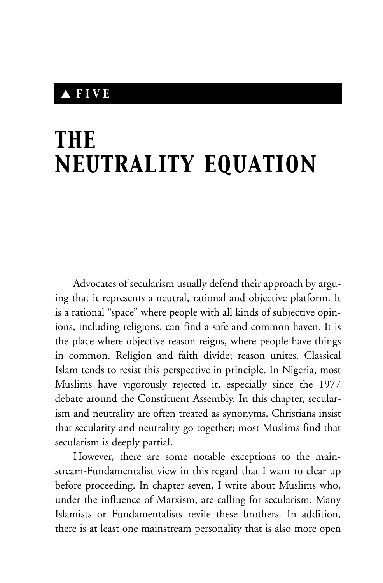## ▲ *FIVE*

## *THE NEUTRALITY EQUATION*

Advocates of secularism usually defend their approach by arguing that it represents a neutral, rational and objective platform. It is a rational "space" where people with all kinds of subjective opinions, including religions, can find a safe and common haven. It is the place where objective reason reigns, where people have things in common. Religion and faith divide; reason unites. Classical Islam tends to resist this perspective in principle. In Nigeria, most Muslims have vigorously rejected it, especially since the 1977 debate around the Constituent Assembly. In this chapter, secularism and neutrality are often treated as synonyms. Christians insist that secularity and neutrality go together; most Muslims find that secularism is deeply partial.

However, there are some notable exceptions to the mainstream-Fundamentalist view in this regard that I want to clear up before proceeding. In chapter seven, I write about Muslims who, under the influence of Marxism, are calling for secularism. Many Islamists or Fundamentalists revile these brothers. In addition, there is at least one mainstream personality that is also more open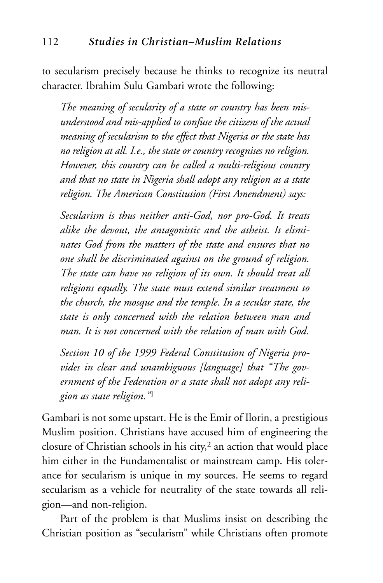to secularism precisely because he thinks to recognize its neutral character. Ibrahim Sulu Gambari wrote the following:

*The meaning of secularity of a state or country has been misunderstood and mis-applied to confuse the citizens of the actual meaning of secularism to the effect that Nigeria or the state has no religion at all. I.e., the state or country recognises no religion. However, this country can be called a multi-religious country and that no state in Nigeria shall adopt any religion as a state religion. The American Constitution (First Amendment) says:* 

*Secularism is thus neither anti-God, nor pro-God. It treats alike the devout, the antagonistic and the atheist. It eliminates God from the matters of the state and ensures that no one shall be discriminated against on the ground of religion. The state can have no religion of its own. It should treat all religions equally. The state must extend similar treatment to the church, the mosque and the temple. In a secular state, the state is only concerned with the relation between man and man. It is not concerned with the relation of man with God.*

*Section 10 of the 1999 Federal Constitution of Nigeria provides in clear and unambiguous [language] that "The government of the Federation or a state shall not adopt any religion as state religion."*<sup>1</sup>

Gambari is not some upstart. He is the Emir of Ilorin, a prestigious Muslim position. Christians have accused him of engineering the closure of Christian schools in his city, $2$  an action that would place him either in the Fundamentalist or mainstream camp. His tolerance for secularism is unique in my sources. He seems to regard secularism as a vehicle for neutrality of the state towards all religion—and non-religion.

Part of the problem is that Muslims insist on describing the Christian position as "secularism" while Christians often promote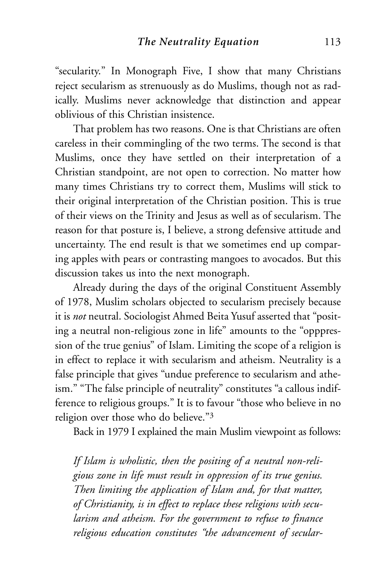"secularity." In Monograph Five, I show that many Christians reject secularism as strenuously as do Muslims, though not as radically. Muslims never acknowledge that distinction and appear oblivious of this Christian insistence.

That problem has two reasons. One is that Christians are often careless in their commingling of the two terms. The second is that Muslims, once they have settled on their interpretation of a Christian standpoint, are not open to correction. No matter how many times Christians try to correct them, Muslims will stick to their original interpretation of the Christian position. This is true of their views on the Trinity and Jesus as well as of secularism. The reason for that posture is, I believe, a strong defensive attitude and uncertainty. The end result is that we sometimes end up comparing apples with pears or contrasting mangoes to avocados. But this discussion takes us into the next monograph.

Already during the days of the original Constituent Assembly of 1978, Muslim scholars objected to secularism precisely because it is *not* neutral. Sociologist Ahmed Beita Yusuf asserted that "positing a neutral non-religious zone in life" amounts to the "opppression of the true genius" of Islam. Limiting the scope of a religion is in effect to replace it with secularism and atheism. Neutrality is a false principle that gives "undue preference to secularism and atheism." "The false principle of neutrality" constitutes "a callous indifference to religious groups." It is to favour "those who believe in no religion over those who do believe."3

Back in 1979 I explained the main Muslim viewpoint as follows:

*If Islam is wholistic, then the positing of a neutral non-religious zone in life must result in oppression of its true genius. Then limiting the application of Islam and, for that matter, of Christianity, is in effect to replace these religions with secularism and atheism. For the government to refuse to finance religious education constitutes "the advancement of secular-*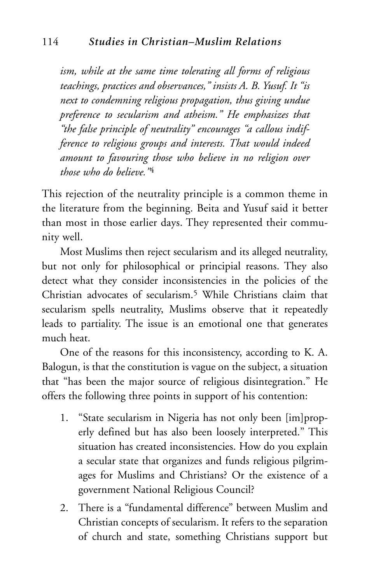*ism, while at the same time tolerating all forms of religious teachings, practices and observances," insists A. B. Yusuf. It "is next to condemning religious propagation, thus giving undue preference to secularism and atheism." He emphasizes that "the false principle of neutrality" encourages "a callous indifference to religious groups and interests. That would indeed amount to favouring those who believe in no religion over those who do believe."*<sup>4</sup>

This rejection of the neutrality principle is a common theme in the literature from the beginning. Beita and Yusuf said it better than most in those earlier days. They represented their community well.

Most Muslims then reject secularism and its alleged neutrality, but not only for philosophical or principial reasons. They also detect what they consider inconsistencies in the policies of the Christian advocates of secularism.5 While Christians claim that secularism spells neutrality, Muslims observe that it repeatedly leads to partiality. The issue is an emotional one that generates much heat.

One of the reasons for this inconsistency, according to K. A. Balogun, is that the constitution is vague on the subject, a situation that "has been the major source of religious disintegration." He offers the following three points in support of his contention:

- 1. "State secularism in Nigeria has not only been [im]properly defined but has also been loosely interpreted." This situation has created inconsistencies. How do you explain a secular state that organizes and funds religious pilgrimages for Muslims and Christians? Or the existence of a government National Religious Council?
- 2. There is a "fundamental difference" between Muslim and Christian concepts of secularism. It refers to the separation of church and state, something Christians support but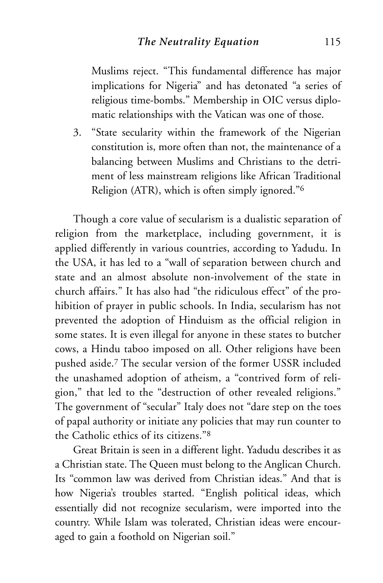Muslims reject. "This fundamental difference has major implications for Nigeria" and has detonated "a series of religious time-bombs." Membership in OIC versus diplomatic relationships with the Vatican was one of those.

3. "State secularity within the framework of the Nigerian constitution is, more often than not, the maintenance of a balancing between Muslims and Christians to the detriment of less mainstream religions like African Traditional Religion (ATR), which is often simply ignored."6

Though a core value of secularism is a dualistic separation of religion from the marketplace, including government, it is applied differently in various countries, according to Yadudu. In the USA, it has led to a "wall of separation between church and state and an almost absolute non-involvement of the state in church affairs." It has also had "the ridiculous effect" of the prohibition of prayer in public schools. In India, secularism has not prevented the adoption of Hinduism as the official religion in some states. It is even illegal for anyone in these states to butcher cows, a Hindu taboo imposed on all. Other religions have been pushed aside.7 The secular version of the former USSR included the unashamed adoption of atheism, a "contrived form of religion," that led to the "destruction of other revealed religions." The government of "secular" Italy does not "dare step on the toes of papal authority or initiate any policies that may run counter to the Catholic ethics of its citizens."8

Great Britain is seen in a different light. Yadudu describes it as a Christian state. The Queen must belong to the Anglican Church. Its "common law was derived from Christian ideas." And that is how Nigeria's troubles started. "English political ideas, which essentially did not recognize secularism, were imported into the country. While Islam was tolerated, Christian ideas were encouraged to gain a foothold on Nigerian soil."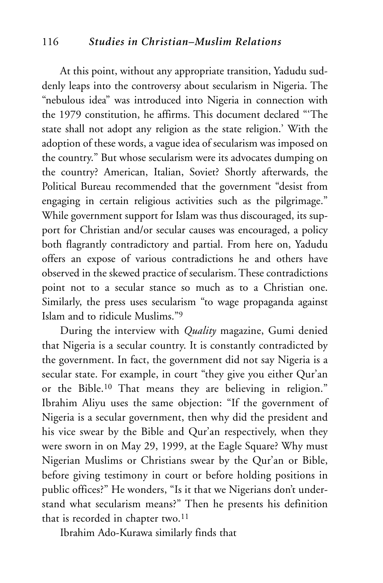## 116 *Studies in Christian–Muslim Relations*

At this point, without any appropriate transition, Yadudu suddenly leaps into the controversy about secularism in Nigeria. The "nebulous idea" was introduced into Nigeria in connection with the 1979 constitution, he affirms. This document declared "'The state shall not adopt any religion as the state religion.' With the adoption of these words, a vague idea of secularism was imposed on the country." But whose secularism were its advocates dumping on the country? American, Italian, Soviet? Shortly afterwards, the Political Bureau recommended that the government "desist from engaging in certain religious activities such as the pilgrimage." While government support for Islam was thus discouraged, its support for Christian and/or secular causes was encouraged, a policy both flagrantly contradictory and partial. From here on, Yadudu offers an expose of various contradictions he and others have observed in the skewed practice of secularism. These contradictions point not to a secular stance so much as to a Christian one. Similarly, the press uses secularism "to wage propaganda against Islam and to ridicule Muslims."9

During the interview with *Quality* magazine, Gumi denied that Nigeria is a secular country. It is constantly contradicted by the government. In fact, the government did not say Nigeria is a secular state. For example, in court "they give you either Qur'an or the Bible.10 That means they are believing in religion." Ibrahim Aliyu uses the same objection: "If the government of Nigeria is a secular government, then why did the president and his vice swear by the Bible and Qur'an respectively, when they were sworn in on May 29, 1999, at the Eagle Square? Why must Nigerian Muslims or Christians swear by the Qur'an or Bible, before giving testimony in court or before holding positions in public offices?" He wonders, "Is it that we Nigerians don't understand what secularism means?" Then he presents his definition that is recorded in chapter two.<sup>11</sup>

Ibrahim Ado-Kurawa similarly finds that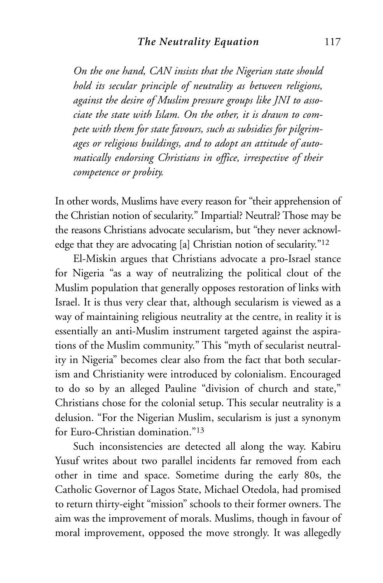*On the one hand, CAN insists that the Nigerian state should hold its secular principle of neutrality as between religions, against the desire of Muslim pressure groups like JNI to associate the state with Islam. On the other, it is drawn to compete with them for state favours, such as subsidies for pilgrimages or religious buildings, and to adopt an attitude of automatically endorsing Christians in office, irrespective of their competence or probity.*

In other words, Muslims have every reason for "their apprehension of the Christian notion of secularity." Impartial? Neutral? Those may be the reasons Christians advocate secularism, but "they never acknowledge that they are advocating [a] Christian notion of secularity."12

El-Miskin argues that Christians advocate a pro-Israel stance for Nigeria "as a way of neutralizing the political clout of the Muslim population that generally opposes restoration of links with Israel. It is thus very clear that, although secularism is viewed as a way of maintaining religious neutrality at the centre, in reality it is essentially an anti-Muslim instrument targeted against the aspirations of the Muslim community." This "myth of secularist neutrality in Nigeria" becomes clear also from the fact that both secularism and Christianity were introduced by colonialism. Encouraged to do so by an alleged Pauline "division of church and state," Christians chose for the colonial setup. This secular neutrality is a delusion. "For the Nigerian Muslim, secularism is just a synonym for Euro-Christian domination."13

Such inconsistencies are detected all along the way. Kabiru Yusuf writes about two parallel incidents far removed from each other in time and space. Sometime during the early 80s, the Catholic Governor of Lagos State, Michael Otedola, had promised to return thirty-eight "mission" schools to their former owners. The aim was the improvement of morals. Muslims, though in favour of moral improvement, opposed the move strongly. It was allegedly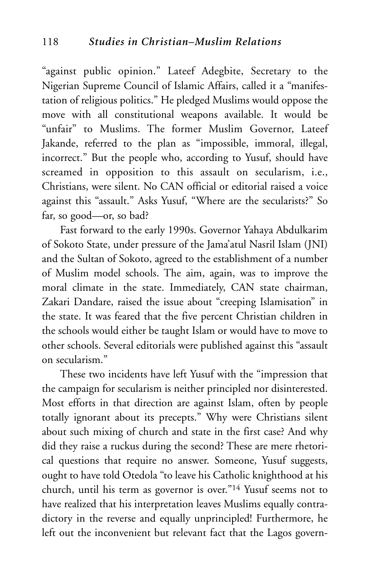"against public opinion." Lateef Adegbite, Secretary to the Nigerian Supreme Council of Islamic Affairs, called it a "manifestation of religious politics." He pledged Muslims would oppose the move with all constitutional weapons available. It would be "unfair" to Muslims. The former Muslim Governor, Lateef Jakande, referred to the plan as "impossible, immoral, illegal, incorrect." But the people who, according to Yusuf, should have screamed in opposition to this assault on secularism, i.e., Christians, were silent. No CAN official or editorial raised a voice against this "assault." Asks Yusuf, "Where are the secularists?" So far, so good—or, so bad?

Fast forward to the early 1990s. Governor Yahaya Abdulkarim of Sokoto State, under pressure of the Jama'atul Nasril Islam (JNI) and the Sultan of Sokoto, agreed to the establishment of a number of Muslim model schools. The aim, again, was to improve the moral climate in the state. Immediately, CAN state chairman, Zakari Dandare, raised the issue about "creeping Islamisation" in the state. It was feared that the five percent Christian children in the schools would either be taught Islam or would have to move to other schools. Several editorials were published against this "assault on secularism."

These two incidents have left Yusuf with the "impression that the campaign for secularism is neither principled nor disinterested. Most efforts in that direction are against Islam, often by people totally ignorant about its precepts." Why were Christians silent about such mixing of church and state in the first case? And why did they raise a ruckus during the second? These are mere rhetorical questions that require no answer. Someone, Yusuf suggests, ought to have told Otedola "to leave his Catholic knighthood at his church, until his term as governor is over."14 Yusuf seems not to have realized that his interpretation leaves Muslims equally contradictory in the reverse and equally unprincipled! Furthermore, he left out the inconvenient but relevant fact that the Lagos govern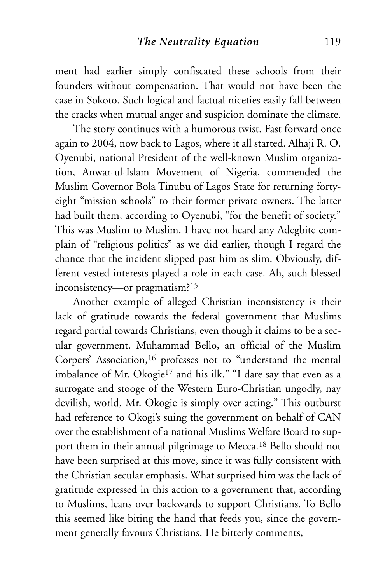ment had earlier simply confiscated these schools from their founders without compensation. That would not have been the case in Sokoto. Such logical and factual niceties easily fall between the cracks when mutual anger and suspicion dominate the climate.

The story continues with a humorous twist. Fast forward once again to 2004, now back to Lagos, where it all started. Alhaji R. O. Oyenubi, national President of the well-known Muslim organization, Anwar-ul-Islam Movement of Nigeria, commended the Muslim Governor Bola Tinubu of Lagos State for returning fortyeight "mission schools" to their former private owners. The latter had built them, according to Oyenubi, "for the benefit of society." This was Muslim to Muslim. I have not heard any Adegbite complain of "religious politics" as we did earlier, though I regard the chance that the incident slipped past him as slim. Obviously, different vested interests played a role in each case. Ah, such blessed inconsistency—or pragmatism?15

Another example of alleged Christian inconsistency is their lack of gratitude towards the federal government that Muslims regard partial towards Christians, even though it claims to be a secular government. Muhammad Bello, an official of the Muslim Corpers' Association,<sup>16</sup> professes not to "understand the mental imbalance of Mr. Okogie<sup>17</sup> and his ilk." "I dare say that even as a surrogate and stooge of the Western Euro-Christian ungodly, nay devilish, world, Mr. Okogie is simply over acting." This outburst had reference to Okogi's suing the government on behalf of CAN over the establishment of a national Muslims Welfare Board to support them in their annual pilgrimage to Mecca.18 Bello should not have been surprised at this move, since it was fully consistent with the Christian secular emphasis. What surprised him was the lack of gratitude expressed in this action to a government that, according to Muslims, leans over backwards to support Christians. To Bello this seemed like biting the hand that feeds you, since the government generally favours Christians. He bitterly comments,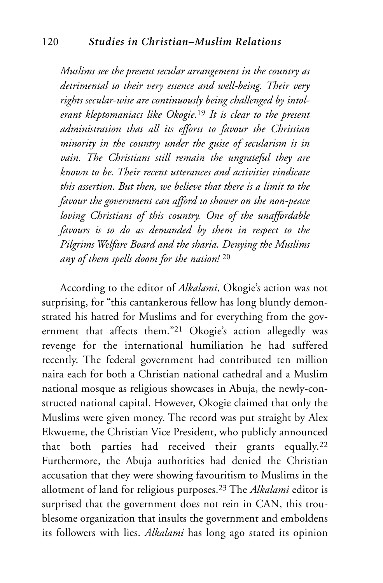*Muslims see the present secular arrangement in the country as detrimental to their very essence and well-being. Their very rights secular-wise are continuously being challenged by intolerant kleptomaniacs like Okogie.*<sup>19</sup> *It is clear to the present administration that all its efforts to favour the Christian minority in the country under the guise of secularism is in vain. The Christians still remain the ungrateful they are known to be. Their recent utterances and activities vindicate this assertion. But then, we believe that there is a limit to the favour the government can afford to shower on the non-peace loving Christians of this country. One of the unaffordable favours is to do as demanded by them in respect to the Pilgrims Welfare Board and the sharia. Denying the Muslims any of them spells doom for the nation!* <sup>20</sup>

According to the editor of *Alkalami*, Okogie's action was not surprising, for "this cantankerous fellow has long bluntly demonstrated his hatred for Muslims and for everything from the government that affects them."21 Okogie's action allegedly was revenge for the international humiliation he had suffered recently. The federal government had contributed ten million naira each for both a Christian national cathedral and a Muslim national mosque as religious showcases in Abuja, the newly-constructed national capital. However, Okogie claimed that only the Muslims were given money. The record was put straight by Alex Ekwueme, the Christian Vice President, who publicly announced that both parties had received their grants equally.22 Furthermore, the Abuja authorities had denied the Christian accusation that they were showing favouritism to Muslims in the allotment of land for religious purposes.23 The *Alkalami* editor is surprised that the government does not rein in CAN, this troublesome organization that insults the government and emboldens its followers with lies. *Alkalami* has long ago stated its opinion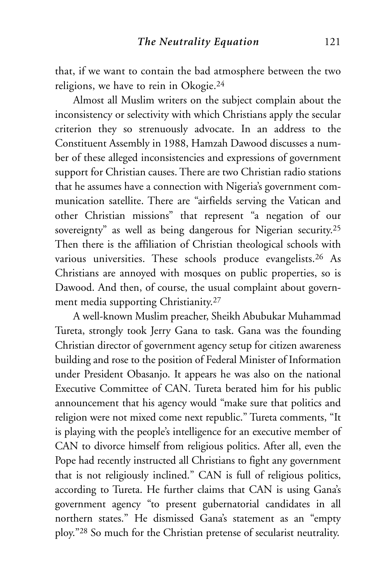that, if we want to contain the bad atmosphere between the two religions, we have to rein in Okogie.24

Almost all Muslim writers on the subject complain about the inconsistency or selectivity with which Christians apply the secular criterion they so strenuously advocate. In an address to the Constituent Assembly in 1988, Hamzah Dawood discusses a number of these alleged inconsistencies and expressions of government support for Christian causes. There are two Christian radio stations that he assumes have a connection with Nigeria's government communication satellite. There are "airfields serving the Vatican and other Christian missions" that represent "a negation of our sovereignty" as well as being dangerous for Nigerian security.<sup>25</sup> Then there is the affiliation of Christian theological schools with various universities. These schools produce evangelists.<sup>26</sup> As Christians are annoyed with mosques on public properties, so is Dawood. And then, of course, the usual complaint about government media supporting Christianity.27

A well-known Muslim preacher, Sheikh Abubukar Muhammad Tureta, strongly took Jerry Gana to task. Gana was the founding Christian director of government agency setup for citizen awareness building and rose to the position of Federal Minister of Information under President Obasanjo. It appears he was also on the national Executive Committee of CAN. Tureta berated him for his public announcement that his agency would "make sure that politics and religion were not mixed come next republic." Tureta comments, "It is playing with the people's intelligence for an executive member of CAN to divorce himself from religious politics. After all, even the Pope had recently instructed all Christians to fight any government that is not religiously inclined." CAN is full of religious politics, according to Tureta. He further claims that CAN is using Gana's government agency "to present gubernatorial candidates in all northern states." He dismissed Gana's statement as an "empty ploy."28 So much for the Christian pretense of secularist neutrality.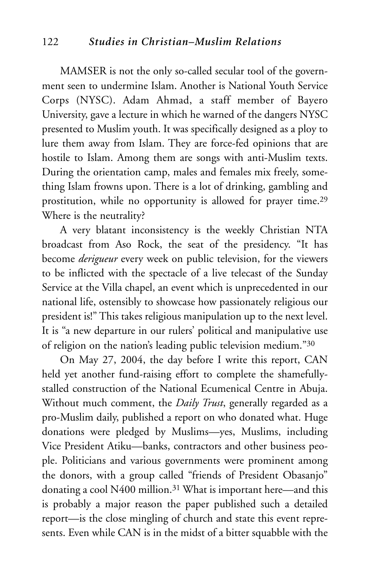MAMSER is not the only so-called secular tool of the government seen to undermine Islam. Another is National Youth Service Corps (NYSC). Adam Ahmad, a staff member of Bayero University, gave a lecture in which he warned of the dangers NYSC presented to Muslim youth. It was specifically designed as a ploy to lure them away from Islam. They are force-fed opinions that are hostile to Islam. Among them are songs with anti-Muslim texts. During the orientation camp, males and females mix freely, something Islam frowns upon. There is a lot of drinking, gambling and prostitution, while no opportunity is allowed for prayer time.29 Where is the neutrality?

A very blatant inconsistency is the weekly Christian NTA broadcast from Aso Rock, the seat of the presidency. "It has become *derigueur* every week on public television, for the viewers to be inflicted with the spectacle of a live telecast of the Sunday Service at the Villa chapel, an event which is unprecedented in our national life, ostensibly to showcase how passionately religious our president is!" This takes religious manipulation up to the next level. It is "a new departure in our rulers' political and manipulative use of religion on the nation's leading public television medium."30

On May 27, 2004, the day before I write this report, CAN held yet another fund-raising effort to complete the shamefullystalled construction of the National Ecumenical Centre in Abuja. Without much comment, the *Daily Trust*, generally regarded as a pro-Muslim daily, published a report on who donated what. Huge donations were pledged by Muslims—yes, Muslims, including Vice President Atiku—banks, contractors and other business people. Politicians and various governments were prominent among the donors, with a group called "friends of President Obasanjo" donating a cool N400 million.31 What is important here—and this is probably a major reason the paper published such a detailed report—is the close mingling of church and state this event represents. Even while CAN is in the midst of a bitter squabble with the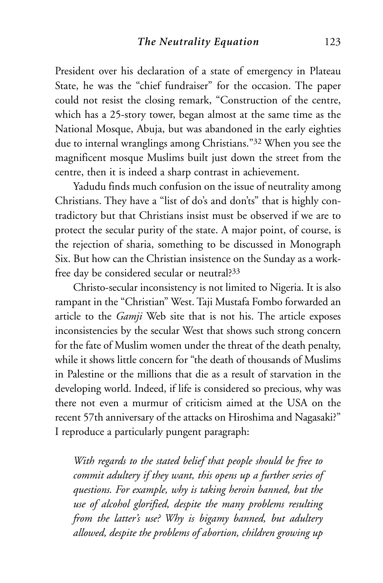President over his declaration of a state of emergency in Plateau State, he was the "chief fundraiser" for the occasion. The paper could not resist the closing remark, "Construction of the centre, which has a 25-story tower, began almost at the same time as the National Mosque, Abuja, but was abandoned in the early eighties due to internal wranglings among Christians."32 When you see the magnificent mosque Muslims built just down the street from the centre, then it is indeed a sharp contrast in achievement.

Yadudu finds much confusion on the issue of neutrality among Christians. They have a "list of do's and don'ts" that is highly contradictory but that Christians insist must be observed if we are to protect the secular purity of the state. A major point, of course, is the rejection of sharia, something to be discussed in Monograph Six. But how can the Christian insistence on the Sunday as a workfree day be considered secular or neutral?33

Christo-secular inconsistency is not limited to Nigeria. It is also rampant in the "Christian" West. Taji Mustafa Fombo forwarded an article to the *Gamji* Web site that is not his. The article exposes inconsistencies by the secular West that shows such strong concern for the fate of Muslim women under the threat of the death penalty, while it shows little concern for "the death of thousands of Muslims in Palestine or the millions that die as a result of starvation in the developing world. Indeed, if life is considered so precious, why was there not even a murmur of criticism aimed at the USA on the recent 57th anniversary of the attacks on Hiroshima and Nagasaki?" I reproduce a particularly pungent paragraph:

*With regards to the stated belief that people should be free to commit adultery if they want, this opens up a further series of questions. For example, why is taking heroin banned, but the use of alcohol glorified, despite the many problems resulting from the latter's use? Why is bigamy banned, but adultery allowed, despite the problems of abortion, children growing up*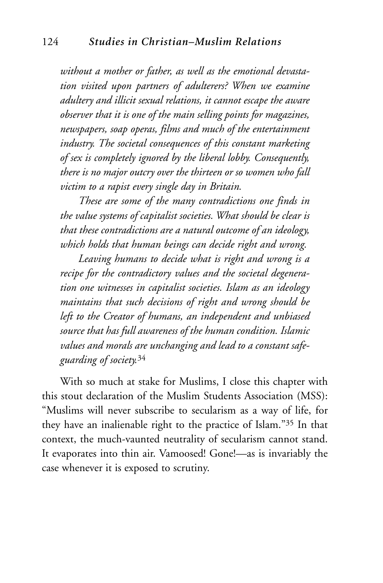*without a mother or father, as well as the emotional devastation visited upon partners of adulterers? When we examine adultery and illicit sexual relations, it cannot escape the aware observer that it is one of the main selling points for magazines, newspapers, soap operas, films and much of the entertainment industry. The societal consequences of this constant marketing of sex is completely ignored by the liberal lobby. Consequently, there is no major outcry over the thirteen or so women who fall victim to a rapist every single day in Britain.* 

*These are some of the many contradictions one finds in the value systems of capitalist societies. What should be clear is that these contradictions are a natural outcome of an ideology, which holds that human beings can decide right and wrong.*

*Leaving humans to decide what is right and wrong is a recipe for the contradictory values and the societal degeneration one witnesses in capitalist societies. Islam as an ideology maintains that such decisions of right and wrong should be left to the Creator of humans, an independent and unbiased source that has full awareness of the human condition. Islamic values and morals are unchanging and lead to a constant safeguarding of society.*<sup>34</sup>

With so much at stake for Muslims, I close this chapter with this stout declaration of the Muslim Students Association (MSS): "Muslims will never subscribe to secularism as a way of life, for they have an inalienable right to the practice of Islam."35 In that context, the much-vaunted neutrality of secularism cannot stand. It evaporates into thin air. Vamoosed! Gone!—as is invariably the case whenever it is exposed to scrutiny.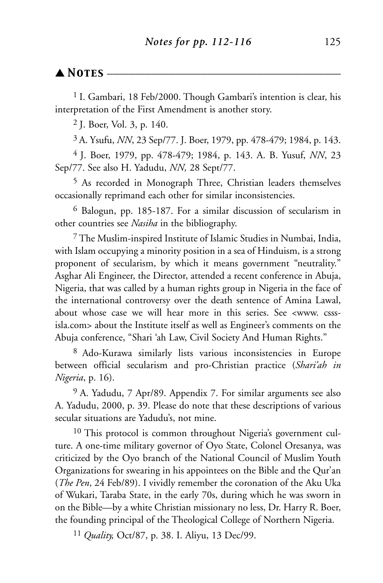## $\blacktriangle$  *Notes*  $-$

<sup>1</sup> I. Gambari, 18 Feb/2000. Though Gambari's intention is clear, his interpretation of the First Amendment is another story.

2 J. Boer, Vol. 3, p. 140.

3 A. Ysufu, *NN*, 23 Sep/77. J. Boer, 1979, pp. 478-479; 1984, p. 143.

4 J. Boer, 1979, pp. 478-479; 1984, p. 143. A. B. Yusuf, *NN*, 23 Sep/77. See also H. Yadudu, *NN,* 28 Sept/77.

5 As recorded in Monograph Three, Christian leaders themselves occasionally reprimand each other for similar inconsistencies.

6 Balogun, pp. 185-187. For a similar discussion of secularism in other countries see *Nasiha* in the bibliography.

7 The Muslim-inspired Institute of Islamic Studies in Numbai, India, with Islam occupying a minority position in a sea of Hinduism, is a strong proponent of secularism, by which it means government "neutrality." Asghar Ali Engineer, the Director, attended a recent conference in Abuja, Nigeria, that was called by a human rights group in Nigeria in the face of the international controversy over the death sentence of Amina Lawal, about whose case we will hear more in this series. See <www. csssisla.com> about the Institute itself as well as Engineer's comments on the Abuja conference, "Shari 'ah Law, Civil Society And Human Rights."

8 Ado-Kurawa similarly lists various inconsistencies in Europe between official secularism and pro-Christian practice (*Shari'ah in Nigeria*, p. 16).

9 A. Yadudu, 7 Apr/89. Appendix 7. For similar arguments see also A. Yadudu, 2000, p. 39. Please do note that these descriptions of various secular situations are Yadudu's, not mine.

<sup>10</sup> This protocol is common throughout Nigeria's government culture. A one-time military governor of Oyo State, Colonel Oresanya, was criticized by the Oyo branch of the National Council of Muslim Youth Organizations for swearing in his appointees on the Bible and the Qur'an (*The Pen*, 24 Feb/89). I vividly remember the coronation of the Aku Uka of Wukari, Taraba State, in the early 70s, during which he was sworn in on the Bible—by a white Christian missionary no less, Dr. Harry R. Boer, the founding principal of the Theological College of Northern Nigeria.

11 *Quality,* Oct/87, p. 38. I. Aliyu, 13 Dec/99.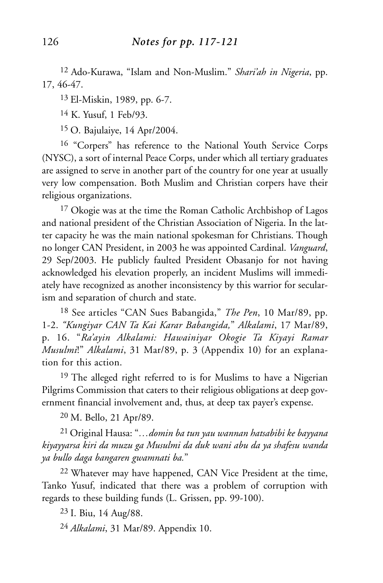12 Ado-Kurawa, "Islam and Non-Muslim." *Shari'ah in Nigeria*, pp. 17, 46-47.

13 El-Miskin, 1989, pp. 6-7.

14 K. Yusuf, 1 Feb/93.

15 O. Bajulaiye, 14 Apr/2004.

16 "Corpers" has reference to the National Youth Service Corps (NYSC), a sort of internal Peace Corps, under which all tertiary graduates are assigned to serve in another part of the country for one year at usually very low compensation. Both Muslim and Christian corpers have their religious organizations.

17 Okogie was at the time the Roman Catholic Archbishop of Lagos and national president of the Christian Association of Nigeria. In the latter capacity he was the main national spokesman for Christians. Though no longer CAN President, in 2003 he was appointed Cardinal. *Vanguard*, 29 Sep/2003. He publicly faulted President Obasanjo for not having acknowledged his elevation properly, an incident Muslims will immediately have recognized as another inconsistency by this warrior for secularism and separation of church and state.

18 See articles "CAN Sues Babangida," *The Pen*, 10 Mar/89, pp. 1-2. *"Kungiyar CAN Ta Kai Karar Babangida,*" *Alkalami*, 17 Mar/89, p. 16. "*Ra'ayin Alkalami: Hawainiyar Okogie Ta Kiyayi Ramar Musulmi*!" *Alkalami*, 31 Mar/89, p. 3 (Appendix 10) for an explanation for this action.

<sup>19</sup> The alleged right referred to is for Muslims to have a Nigerian Pilgrims Commission that caters to their religious obligations at deep government financial involvement and, thus, at deep tax payer's expense.

20 M. Bello, 21 Apr/89.

21 Original Hausa: "*…domin ba tun yau wannan hatsabibi ke bayyana kiyayyarsa kiri da muzu ga Musulmi da duk wani abu da ya shafesu wanda ya bullo daga bangaren gwamnati ba.*"

22 Whatever may have happened, CAN Vice President at the time, Tanko Yusuf, indicated that there was a problem of corruption with regards to these building funds (L. Grissen, pp. 99-100).

23 I. Biu, 14 Aug/88.

24 *Alkalami*, 31 Mar/89. Appendix 10.